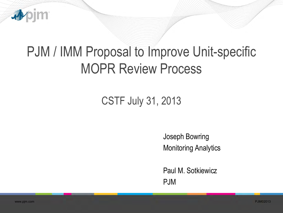

## PJM / IMM Proposal to Improve Unit-specific MOPR Review Process

## CSTF July 31, 2013

Joseph Bowring Monitoring Analytics

Paul M. Sotkiewicz PJM

i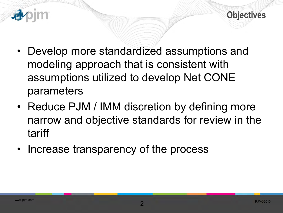

- Develop more standardized assumptions and modeling approach that is consistent with assumptions utilized to develop Net CONE parameters
- Reduce PJM / IMM discretion by defining more narrow and objective standards for review in the tariff
- Increase transparency of the process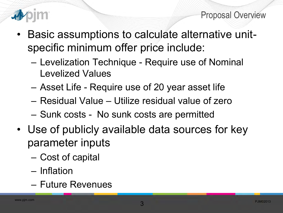

Proposal Overview

- Basic assumptions to calculate alternative unitspecific minimum offer price include:
	- Levelization Technique Require use of Nominal Levelized Values
	- Asset Life Require use of 20 year asset life
	- Residual Value Utilize residual value of zero
	- Sunk costs No sunk costs are permitted
- Use of publicly available data sources for key parameter inputs
	- Cost of capital
	- Inflation
	- Future Revenues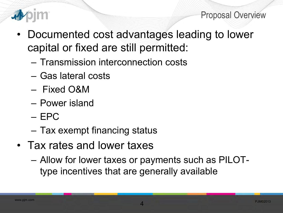

Proposal Overview

- Documented cost advantages leading to lower capital or fixed are still permitted:
	- Transmission interconnection costs
	- Gas lateral costs
	- Fixed O&M
	- Power island
	- EPC
	- Tax exempt financing status
- Tax rates and lower taxes
	- Allow for lower taxes or payments such as PILOTtype incentives that are generally available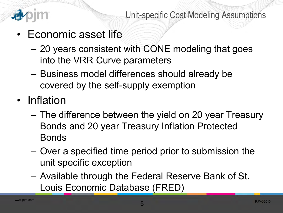

- Economic asset life
	- 20 years consistent with CONE modeling that goes into the VRR Curve parameters
	- Business model differences should already be covered by the self-supply exemption
- Inflation
	- The difference between the yield on 20 year Treasury Bonds and 20 year Treasury Inflation Protected Bonds
	- Over a specified time period prior to submission the unit specific exception
	- Available through the Federal Reserve Bank of St. Louis Economic Database (FRED)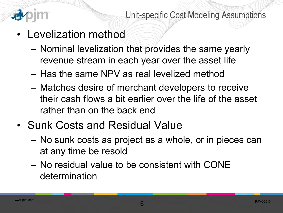

- Levelization method
	- Nominal levelization that provides the same yearly revenue stream in each year over the asset life
	- Has the same NPV as real levelized method
	- Matches desire of merchant developers to receive their cash flows a bit earlier over the life of the asset rather than on the back end
- Sunk Costs and Residual Value
	- No sunk costs as project as a whole, or in pieces can at any time be resold
	- No residual value to be consistent with CONE determination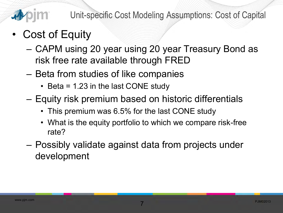

- Cost of Equity
	- CAPM using 20 year using 20 year Treasury Bond as risk free rate available through FRED
	- Beta from studies of like companies
		- Beta = 1.23 in the last CONE study
	- Equity risk premium based on historic differentials
		- This premium was 6.5% for the last CONE study
		- What is the equity portfolio to which we compare risk-free rate?
	- Possibly validate against data from projects under development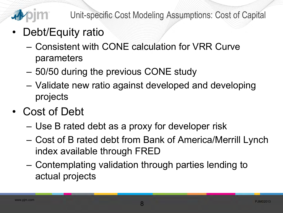

Unit-specific Cost Modeling Assumptions: Cost of Capital

- Debt/Equity ratio
	- Consistent with CONE calculation for VRR Curve parameters
	- 50/50 during the previous CONE study
	- Validate new ratio against developed and developing projects
- Cost of Debt
	- Use B rated debt as a proxy for developer risk
	- Cost of B rated debt from Bank of America/Merrill Lynch index available through FRED
	- Contemplating validation through parties lending to actual projects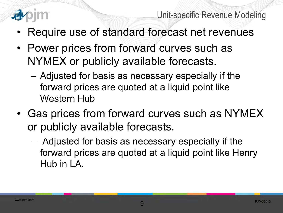

- Require use of standard forecast net revenues
- Power prices from forward curves such as NYMEX or publicly available forecasts.
	- Adjusted for basis as necessary especially if the forward prices are quoted at a liquid point like Western Hub
- Gas prices from forward curves such as NYMEX or publicly available forecasts.
	- Adjusted for basis as necessary especially if the forward prices are quoted at a liquid point like Henry Hub in LA.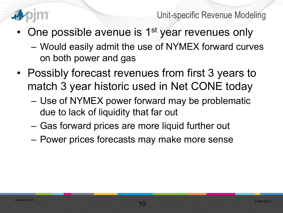

Unit-specific Revenue Modeling

- One possible avenue is 1<sup>st</sup> year revenues only
	- Would easily admit the use of NYMEX forward curves on both power and gas
- Possibly forecast revenues from first 3 years to match 3 year historic used in Net CONE today
	- Use of NYMEX power forward may be problematic due to lack of liquidity that far out
	- Gas forward prices are more liquid further out
	- Power prices forecasts may make more sense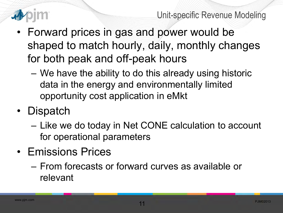

- Forward prices in gas and power would be shaped to match hourly, daily, monthly changes for both peak and off-peak hours
	- We have the ability to do this already using historic data in the energy and environmentally limited opportunity cost application in eMkt
- Dispatch
	- Like we do today in Net CONE calculation to account for operational parameters
- Emissions Prices
	- From forecasts or forward curves as available or relevant